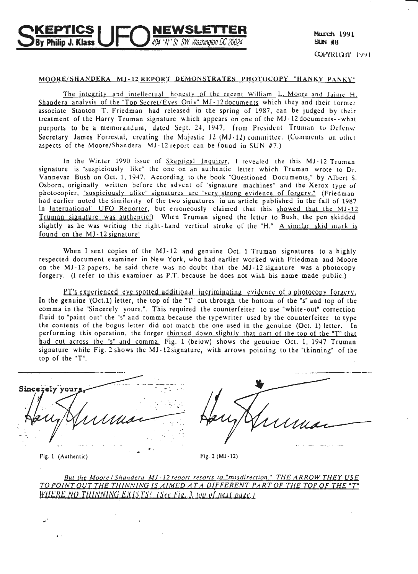# NEWSLETTER 404 ''N'' St SW, Washington DC 20024 hilio J. Klass

## MOORE/SHANDERA MJ-12 REPORT DEMONSTRATES PHOTOCOPY "HANKY PANKY"

The integrity and intellectual honesty of the recent William L. Moore and Jaime H. Shandera analysis of the "Top Secret/Eyes Only" MJ-12 documents which they and their former associate Stanton T. Friedman had released in the spring of 1987, can be judged by their treatment of the Harry Truman signature which appears on one of the MJ-12 documents - what purports to be a memorandum, dated Sept. 24, 1947, from President Truman to Defense Secretary James Forrestal, creating the Majestic 12 (MJ-12) committee. (Comments on other aspects of the Moore/Shandera  $MJ-12$  report can be found in SUN #7.)

In the Winter 1990 issue of Skeptical Inquirer, I revealed the this MJ-12 Truman signature is "suspiciously like" the one on an authentic letter which Truman wrote to Dr.<br>Vannevar Bush on Oct. 1, 1947. According to the book "Questioned Documents," by Albert S. Osborn, originally written before the advent of "signature machines" and the Xerox type of photocopier, "suspiciously alike" signatures are "very strong evidence of forgery." (Friedman had earlier noted the similarity of the two signatures in an article published in the fall of 1987 in International UFO Reporter, but erroneously claimed that this showed that the MJ-12 Truman signature was authentic!) When Truman signed the letter to Bush, the pen skidded slightly as he was writing the right-hand vertical stroke of the "H," A similar skid mark is found on the MJ-12 signature!

When I sent copies of the MJ-12 and genuine Oct. 1 Truman signatures to a highly respected document examiner in New York, who had earlier worked with Friedman and Moore on the MJ-12 papers, he said there was no doubt that the MJ-12 signature was a photocopy forgery. (I refer to this examiner as P.T. because he does not wish his name made public.)

PT's experienced eve spotted additional incriminating evidence of a photocopy forgery. In the genuine (Oct.1) letter, the top of the "T" cut through the bottom of the "s" and top of the comma in the "Sincerely yours,". This required the counterfeiter to use "white-out" correction fluid to "paint out" the "s" and comma because the typewriter used by the counterfeiter to type the contents of the bogus letter did not match the one used in the genuine (Oct. 1) letter. In performing this operation, the forger thinned down slightly that part of the top of the "T" that had cut across the "s" and comma. Fig. 1 (below) shows the genuine Oct. 1, 1947 Truman signature while Fig. 2 shows the MJ-12 signature, with arrows pointing to the "thinning" of the top of the "T".

| Sincerely y<br><b>CALL</b>                                                                                                         | w.                             |
|------------------------------------------------------------------------------------------------------------------------------------|--------------------------------|
|                                                                                                                                    |                                |
|                                                                                                                                    |                                |
| . .                                                                                                                                |                                |
| $\sim$                                                                                                                             |                                |
| $\omega^{\prime\prime}$ , $\omega$<br>$\cdots$                                                                                     |                                |
| $\mathbf{r}$<br>$\bullet$<br>$\overline{\phantom{a}}$<br>$\sim$ $-$<br>$\cdot$<br>. .<br><b><i>Contract Contract</i></b><br>$\sim$ | And All And Address to<br>$ -$ |
|                                                                                                                                    |                                |

Fig. 1 (Authentic)

 $\epsilon$ .

Fig. 2 ( $MJ-12$ )

But the Moore | Shandera MJ-12 report resorts to "misdirection." THE ARROW THEY USE TO POINT OUT THE THINNING IS AIMED AT A DIFFERENT PART OF THE TOP OF THE "T" WHERE NO THINNING EXISTS! (See Fig. 3, top of next page.)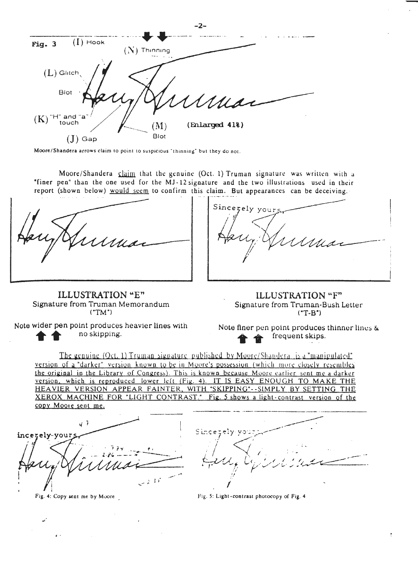|                                   |                        | dia.           |  |
|-----------------------------------|------------------------|----------------|--|
| $(I)$ Hook<br>Fig. 3              | Thinning               |                |  |
| $(L)$ Glitch,<br>Blot             |                        |                |  |
|                                   |                        | UMIA-          |  |
| $(K)$ "H" and "a"<br>touch<br>Gap | $(\mathbf{M})$<br>Blot | (Enlarged 41%) |  |

Moore/Shandera arrows claim to point to suspicious "thinning" but they do not.

Moore/Shandera claim that the genuine (Oct. 1) Truman signature was written with a "finer pen" than the one used for the MJ-12 signature and the two illustrations used in their report (shown below) would seem to confirm this claim. But appearances can be deceiving.

 $-2-$ 

ILLUSTRATION "E" Signature from Truman Memorandum  $("TM")$ 

Sincerely your

ILLUSTRATION "F" Signature from Truman-Bush Letter  $(T-B^*)$ 

Note wider pen point produces heavier lines with no skipping.

Note finer pen point produces thinner lines & frequent skips.

The genuine (Oct. 1) Truman signature published by Moore/Shandera is a "manipulated" version of a "darker" version known to be in Moore's possession (which more closely resembles the original in the Library of Congress). This is known because Moore earlier sent me a darker version, which is reproduced lower left (Fig. 4). IT IS EASY ENOUGH TO MAKE THE HEAVIER VERSION APPEAR FAINTER, WITH "SKIPPING" -- SIMPLY BY SETTING THE XEROX MACHINE FOR "LIGHT CONTRAST." Fig. 5 shows a light-contrast version of the copy Moore sent me.

 $47$ incerely-your Fig. 4: Copy sent me by Moore

Sincet

Fig. 5: Light-contrast photocopy of Fig. 4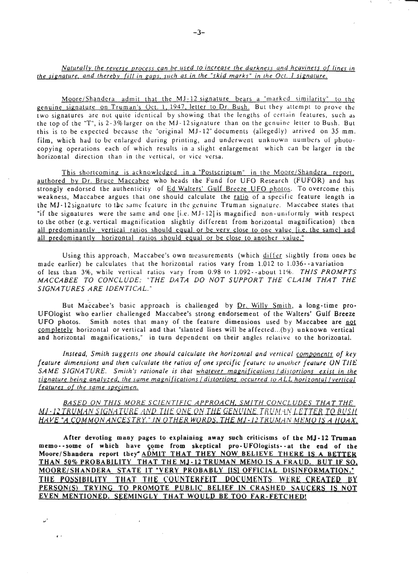# *Naturally the reverse process can be used to increase the darkness and heaviness of lines in the signature. and thereby {ill in gaps. such as in the "skid marks " in the Oct. I signature.*

Moore/Shandera admit that the  $MJ-12$  signature bears a "marked similarity" to the genuine signature on Truman's Oct. 1, 1947, letter to Dr. Bush. But they attempt to prove the two signatures are not quite identical by showing that the lengths of certain features, such as the top of the "T", is 2-3% larger on the MJ-12 signature than on the genuine letter to Bush. But this is to be expected because the "original  $MJ-12$ " documents (allegedly) arrived on 35 mm. film, which had to be enlarged during printing, and underwent unknown numbers of photocopying operations each of which results in a slight enlargement which can be larger in the horizontal direction than in the vertical, or vice versa.

This shortcoming is acknowledged in a "Postscriptum" in the Moore/Shandera report, authored by Dr. Bruce Maccabee who heads the Fund for UFO Research (FUFOR) and has strongly endorsed the authenticity of Ed Walters' Gulf Breeze UFO photos. To overcome this weakness, Maccabee argues that one should calculate the ratio of a specific feature length in the MJ-12 signature to the same feature in the genuine Truman signature. Maccabee states that "if the signatures were the same and one [i.e. MJ-12] is magnified non-uniformly with respect to the other (e.g. vertical magnification slightly different from horizontal magnification) then all predominantly vertical ratios should equal or be very close to one value [i.e. the same] and all predominantly horizontal ratios should equal or be close to another value."

Using this approach, Maccabee's own measurements (which differ slightly from ones he made earlier) he calculates that the horizontal ratios vary from 1.012 to 1.036- -a variation of less than 3%, while vertical ratios vary from 0.98 to 1.092--about 11%. THIS PROMPTS *MACCABEE TO CONCLUDE: "THE DATA DO NOT SUPPORT THE CLAIM THAT THE SIGNATURES ARE IDENTICAL. "* 

But Maccabee's basic approach is challenged by Dr. Willy Smith, a long-time pro-UFOlogist who earlier challenged Maccabee's strong endorsement of the Walters' Gulf Breeze UFO photos. Smith notes that many of the feature dimensions used by Maccabee are not completely horizontal or vertical and that "slanted lines will be affected...(by) unknown vertical and horizontal magnifications," in turn dependent on their angles relative to the horizontal.

Instead, Smith suggests one should calculate the horizontal and vertical components of key *feature dimensions and then culculate the ratios of one specific feature to another feature ON THE SAME SIGNATURE. Smith 's rationale is that whatever magnifications / d istortions exist in the signature being analyzed, the same magnifications / distortions occurred to ALL horizontal / vertical features of the same specimen.* 

*BA S ED ON THIS M ORE SCIENTIFIC A PPROACH, SMITH CONCLUDES THAT THE*  MI-12 TRUMAN SIGNATURE. AND THE ONE ON THE GENUINE TRUMAN LETTER TO BUSH. HAVE "A COMMON ANCESTRY." IN OTHER WORDS, THE MJ-12 TRUMAN MEMO IS A HOAX.

After devoting many pages to explaining away such criticisms of the MJ-12 Truman memo--some of which have come from skeptical pro-UFOlogists-- at the end of the Moore/Shandera report they ADMIT THAT THEY NOW BELIEVE THERE IS A BETTER THAN 50% PROBABILITY THAT THE MJ-12 TRUMAN MEMO IS A FRAUD. BUT IF SO. MOORE/SHANOERA STATE IT "VERY PROBABLY (IS] OFFICIAL OISINFQRMATION. " THE POSSIBILITY THAT THE COUNTERFEIT DOCUMENTS WERE CREATED BY PERSON(S) TRYING TO PROMOTE PUBLIC BELIEF IN CRASHED SAUCERS IS NOT EVEN MENTIONED. SEEMINGLY THAT WOULD BE TOO FAR-FETCHED!

 $\sim$ 

"'

 $\mathbf{r}$ 

---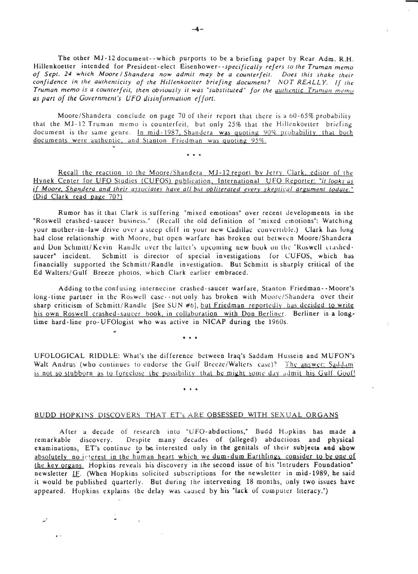The other MJ-12 document--which purports to be a briefing paper by Rear Adm. R.H. Hillenkoetler intended for President-elect Eisenhower- *-specifically refers to the Truman memo of Sept. 24 which Moore I Shandera now admit may be a counterfeit. Does this shake their confidence in the authenticity of the Hillenkoetter briefing document? NOT REALLY. If the Truman memo is a counterfeit, then obviously it was "substituted" for the uwhentic Trumun m emo*  as part of the Government's UFO disinformation effort.

Moore/Shandera conclude on page 70 of their report that there is a  $60-65\%$  probability that the MJ-12 Truman memo is counterfeit, but only 25% that the Hillenkoetter briefing document is the same genre. In mid-1987, Shandera was quoting 90% probability, that both documents were authentic, and Stanton Friedman was quoting 95%.<br>\*\*\*

Recall the reaction to the Moore/Shandera MJ-12 report by Jerry Clark, editor of the Hynek Center for UFO Studies (CUFOS) publication, International UFO Reporter: "it looks as if *Moore, Shandera and their associates have all but obliterated every skepticul argument todate ."*  (Did Clark read page 70?)

Rumor has it that Clark is suffering "mixed emotions" over recent developments in the "Roswell crashed-saucer business." (Recall the old definition of "mixed emotions": Watching your mother-in-law drive over a steep cliff in your new Cadillac convertible.) Clark has long had close relationship with Moore, but open warfare has broken out bctwecn Moore/Shandera and Don Schmitt/ Kevin. Randle over the latter's upcoming new book on the "Roswell crashedsaucer" incident. Schmitt is director of special investigations for CUFOS, which has financially supported the Schmitt/Randle investigation. But Schmitt is sharply critical of the Ed Walters/Gulf Breeze photos, which Clark earlier embraced.

Adding to the confusing internecine crashed- saucer warfare, Stanton Friedman- - Moore's long-time partner in the Roswell case--not only has broken with Moore/Shandera over their sharp criticism of Schmitt/Randle [See SUN #6], but Friedman reportedly has decided to write his own Roswell crashed-saucer book, in collaboration with Don Berliner. Berliner is a longtime hard-line pro-UFOlogist who was active in NICAP during the 1960s.

• • •

 $\ddot{\phantom{a}}$ 

UFOLOGICAL RIDDLE: What's the difference between Iraq's Saddam Hussein and MUFON's Walt Andrus (who continues to endorse the Gulf Breeze/Walters case)? The answer: Saddam' is not so stubborn as to forcclose the possibility that he might some day admit his Gulf Goof!<br>\*\*\*

### BUDD HOPKINS DISCOVERS THAT ET's ARE OBSESSED WITH SEXUAL ORGANS

 $\epsilon$ .

After a decade of research into "UFO-abductions," Budd Hopkins has made a remarkable discovery. Despite many decades of (alleged) abductions and physical examinations, ET's continue to be interested only in the genitals of their subjects and show absolutely no interest in the human heart which we dum-dum Earthlings consider to be one of the key organs. Hopkins reveals his discovery in the second issue of his "Intruders Foundation" newsletter IF. (When Hopkins solicited subscriptions for the newsletter in mid-1989, he said it would be published quarterly. But during the intervening 18 months, only two issues have appeared. Hopkins explains the delay was caused by his "lack of computer literacy.")

·-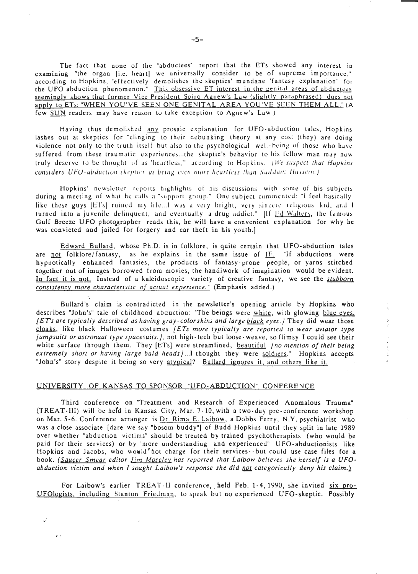The fact that none of the "abductees" report that the ETs showed any interest in examining "the organ [i.e. heart] we universally consider to be of supreme importance," according to Hopkins, "effectively demolishes the skeptics' mundane 'fantasy explanation' for the UFO abduction phenomenon." This obsessive ET interest in the genital areas of abductees seemingly shows that former Vice President Spiro Agnew's Law (slightly paraphrased) does not apply to ETs: "WHEN YOU'VE SEEN ONE GENITAL AREA YOU'VE SEEN THEM ALL." (A few SUN readers may have reason to take exception to Agnew's Law.)

Having thus demolished any prosaic explanation for UFO-abduction tales, Hopkins lashes out at skeptics for "clinging to their debunking theory at any cost (they) are doing violence not only to the truth itself but also to the psychological well-being of those who have suffered from these traumatic experiences...the skeptic's behavior to his fellow man may now truly deserve to be thought of as 'heartless," according to Hopkins. (We suspect that Hopkins considers UFO-abduction skeptics as being even more heartless than Saddam Hussein.)

Hopkins' newsletter reports highlights of his discussions with some of his subjects during a meeting of what he calls a "support group." One subject commented: "I feel basically like these guys [ETs] ruined my life... I was a very bright, very sincere religious kid, and I turned into a juvenile delinquent, and eventually a drug addict." Iff Ed Walters, the famous Gulf Breeze UFO photographer reads this, he will have a convenient explanation for why he was convicted and jailed for forgery and car theft in his youth.]

Edward Bullard, whose Ph.D. is in folklore, is quite certain that UFO-abduction tales are not folklore/fantasy, as he explains in the same issue of IF. "If abductions were hypnotically enhanced fantasies, the products of fantasy-prone people, or yarns stitched together out of images borrowed from movies, the handiwork of imagination would be evident. In fact it is not. Instead of a kaleidoscopic variety of creative fantasy, we see the stubborn consistency more characteristic of actual experience." (Emphasis added.)

Bullard's claim is contradicted in the newsletter's opening article by Hopkins who describes "John's" tale of childhood abduction: "The beings were white, with glowing blue eyes. [ET's are typically described as having gray-color skins and large black eyes.] They did wear those cloaks, like black Halloween costumes  $/ETs$  more typically are reported to wear aviator type jumpsuits or astronaut type spacesuits. *I*, not high-tech but loose-weave, so flimsy I could see their white surface through them. They [ETs] were streamlined, beautiful (no mention of their being extremely short or having large bald heads/...I thought they were soldiers." Hopkins accepts "John's" story despite it being so very atypical? Bullard ignores it, and others like it.

# UNIVERSITY OF KANSAS TO SPONSOR "UFO-ABDUCTION" CONFERENCE

 $\epsilon$ 

Third conference on "Treatment and Research of Experienced Anomalous Trauma" (TREAT-III) will be held in Kansas City, Mar. 7-10, with a two-day pre-conference workshop on Mar. 5-6. Conference arranger is Dr. Rima E. Laibow, a Dobbs Ferry, N.Y. psychiatrist who was a close associate [dare we say "bosom buddy"] of Budd Hopkins until they split in late 1989 over whether "abduction victims" should be treated by trained psychotherapists (who would be paid for their services) or by "more understanding and experienced" UFO-abductionists like Hopkins and Jacobs, who would not charge for their services -- but could use case files for a book. (Saucer Smear editor *Jim Moseley* has reported that Laibow believes she herself is a UFOabduction victim and when I sought Laibow's response she did not categorically deny his claim.)

For Laibow's earlier TREAT-II conference, held Feb. 1-4, 1990, she invited six pro-UFOlogists, including Stanton Friedman, to speak but no experienced UFO-skeptic. Possibly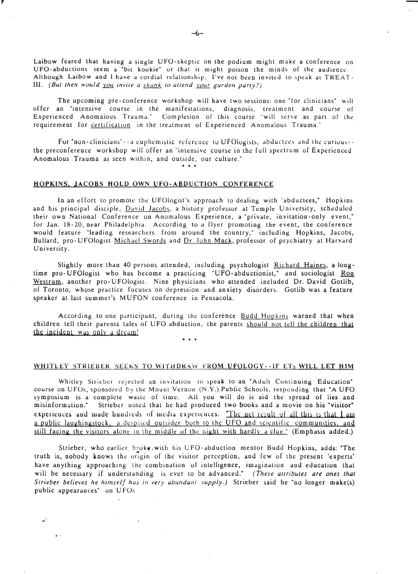Laibow feared that having a single UFO-skeptic on the podium might make a conference on UFO-abductions seem a "bit kookie" or that it might poison the minds of the audience. Although Laibow and I have a cordial relationship, I' ve not been invitcd to speak at TREAT. III. *(But then would you invite a skunk to attend your garden party?)* 

The upcoming pre-conference workshop will have two sessions: one "for clinicians" will offer an "intensive course in the manifestations, diagnosis, treatment and course of Experienced Anomalous Trauma." Completion of this course "will serve as part of the requirement for **certification** in the treatment of Experienced Anomalous Trauma."

For "non-clinicians" - a cuphemistic reference to UFOlogists, abductees and the curious  $\cdots$ the preconference workshop will offer an "intensive course in the full spectrum of Experienced Anomalous Trauma as seen within, and outside, our culture." • • •

### HOPKINS, JACOBS HOLD OWN UFO-ABDUCTION CONFERENCE

,

In an effort to promote the UFOlogist's approach to dealing with "abductees," Hopkins and his principal disciple, David Jacobs, a history professor at Temple University, scheduled their own National Conference on Anomalous Experience, a "private, invitation-only event," for Jan. 18-20, near Philadelphia . According to a flyer promoting the event, the conference would feature "leading researchers from around the country," including Hopkins, Jacobs, Bullard, pro- UFOlogist Michael Swords and Dr. John Mack, professor of psychiatry at Harvard University.

Slightly more than 40 persons attended, including psychologist Richard Haines, a longtime pro- UFOlogist who has become a practicing "UFO-abductionist," and sociologist Ron Westrum, another pro-UFOlogist. Nine physicians who attended included Dr. David Gotlib, of Toronto, whose practice focuses on depression and anxiety disorders. Gotlib was a feature speaker at last summer's MUFON conference in Pensacola.

According to one participant, during the conference Budd Hopkins warned that when children tell their parents tales of UFO abduction, the parents should not tell the children that the incident was only a dream!

## WHITLEY STRIEBER SEEKS TO WITHDRAW FROM UFOLOGY--IF ETs WILL LET HIM

Whitley Strieber rejected an invitation to speak to an "Adult Continuing Education" course on UFOs, sponsored by the Mount Vernon (N.Y.) Public Schools, responding that "A UFO symposium is a complete waste of time. All you will do is aid the spread of lies and misinformation." Strieber noted that he had produced two books and a movie on his "visitor" experiences and mude hundreds of media experiences. "The net result of all this is that I am a public laughingstock, a despised outsider both to the UFO and scientific communities, and still facing the visitors alone in the middle of the night with hardly a clue." (Emphasis added.)

Strieber, who earlier broke, with his UFO-abduction mentor Budd Hopkins, adds: "The truth is, nobody knows the origin of the visitor perception, and few of the present 'experts' have anything approaching the combination of intelligence, imugioation and education that will be necessary if understanding is ever to be advanced." *(These attributes are ones that Strieber believes he himself has in very abundant supply.)* Strieber said he "no longer make(s) public appearances" on UFOs

 $\ddot{\phantom{a}}$ 

 $\sim$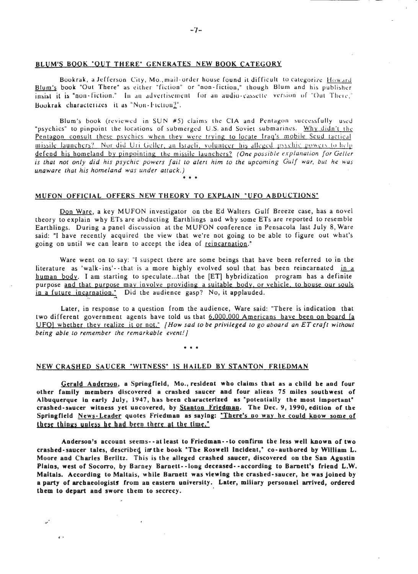## BLUM'S BOOK "OUT THERE" GENERATES NEW BOOK CATEGORY

Bookrak, a Jefferson City, Mo., mail-order house found it difficult to categorize Howard Blum's book "Out There" as either "fiction" or "non-fiction," though Blum and his publisher insist it is "non-fiction." In an advertisement for an audio-cassette version of "Out There," Bookrak characterizes it as "Non-Fiction?".

Blum's book (reviewed in SUN  $#5$ ) claims the CIA and Pentagon successfully used "psychics" to pinpoint the locations of submerged U.S. and Soviet submarines. Why didn't the Pentagon consult these psychics when they were trying to locate Iraq's mobile Scud tactical missile launchers? Nor did Uri Geller, an Israeli, volunteer his alleged psychic powers to help defend his homeland by pinpointing the missile launchers? *(One possible explanation for Geller is that not only did his psychic powers fail to alert him to the upcoming Gulf war, but he was unaware that his homeland was under attack.)*  • • •

#### MUFON OFFICIAL OFFERS NEW THEORY TO EXPLAIN "UFO ABDUCTIONS"

Don Ware, a key MUFON investigator on the Ed Walters Gulf Breeze case, has a novel theory to explain why ETs are abducting Earthlings and why some ETs are reported to resemble Earthlings. During a panel discussion at the MUFON conference in Pensacola last July 8, Ware said: "I have recently acquired the view that we're not going to be able to figure out what's going on until we can learn to accept the idea of reincarnation."

Ware went on to say: "I suspect there are some beings that have been referred to in the literature as 'walk-ins'--that is a more highly evolved soul that has been reincarnated in a human body. I am starting to speculate...that the [ET] hybridization program has a definite purpose and that purpose may involve providing a suitable body, or vehicle. to bouse our souls in a future incarnation." Did the audience gasp? No, it applauded.

Later, in response to a question from the audience, Ware said: "There is indication that two different government agents have told us that 6.000.000 Americans have been on board [a UFO! whether they realize it or not." *[How sad to be privileged to go aboard an ET craft without being able to remember the remarkable event! j* 

• • •

#### NEW CRASHED SAUCER "WITNESS" IS HAILED BY STANTON FRIEDMAN

 $\epsilon$ .

Gerald Anderson, a Springfield, Mo., resident who claims that as a child he and four other family members discovered a crashed saucer and four aliens 75 miles southwest or Albuquerque in early July, 1947, has been characterized as "potentially the most important" crashed-saucer witness yet uncovered, by Stanton Friedman. The Dec. 9, 1990, edition of the Springfield News-Leader quotes Friedman as saying: "There's no way he could know some of these things unless he had been there at the time."

Anderson's account seems-- at least to Friedman- ·to con firm the less well known of two crashed-saucer tales, described in the book "The Roswell Incident," co-authored by William L. Moore and Charles Berlitz. This is the alleged crashed saucer, discovered on the San Agustin Plains, west of Socorro, by Barney Barnett· -long deceased· ·according to Barnett's friend L.W. Maltais. According to Maltais, while Barnett was viewing the crashed-saucer, be was joined by a party of archaeologists from an eastern university. Later, miliary personnel arrived, ordered them to depart and swore them to secrecy.